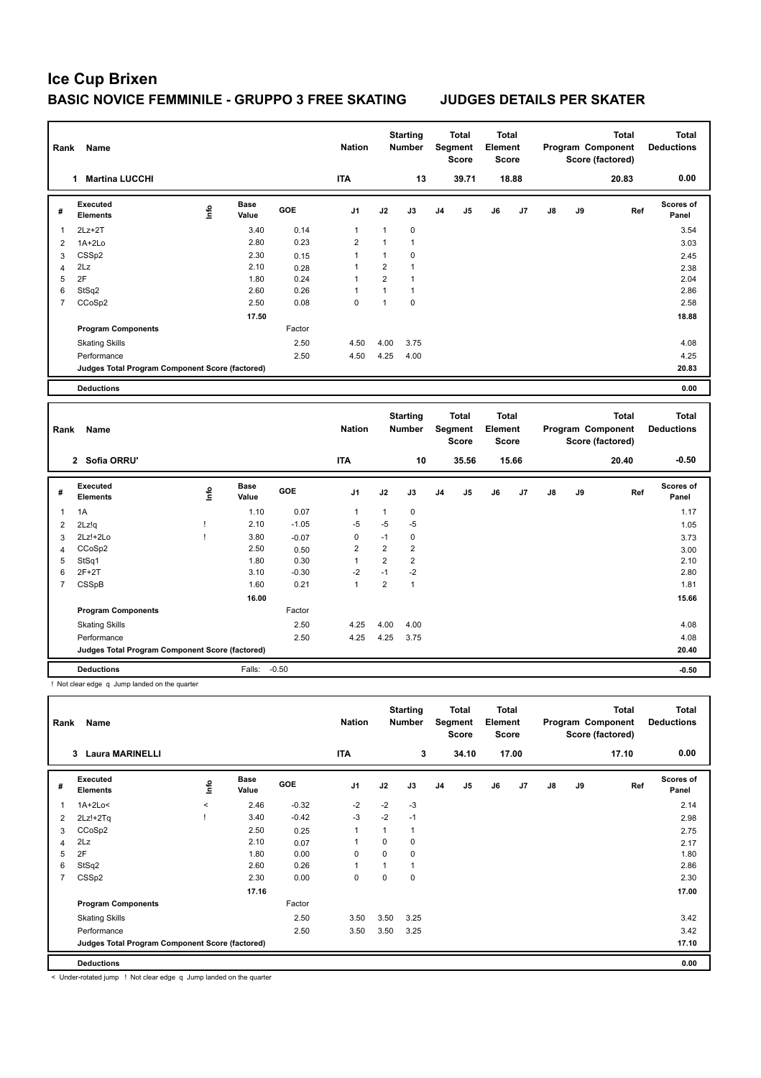| Rank           | Name                                            |      |                      |         | <b>Nation</b>  |                | <b>Starting</b><br>Number |                | <b>Total</b><br>Segment<br><b>Score</b> | <b>Total</b><br>Element<br><b>Score</b> |       |    |    | <b>Total</b><br>Program Component<br>Score (factored) | <b>Total</b><br><b>Deductions</b> |
|----------------|-------------------------------------------------|------|----------------------|---------|----------------|----------------|---------------------------|----------------|-----------------------------------------|-----------------------------------------|-------|----|----|-------------------------------------------------------|-----------------------------------|
|                | 1 Martina LUCCHI                                |      |                      |         | <b>ITA</b>     |                | 13                        |                | 39.71                                   |                                         | 18.88 |    |    | 20.83                                                 | 0.00                              |
| #              | <b>Executed</b><br>Elements                     | Life | <b>Base</b><br>Value | GOE     | J1             | J2             | J3                        | J4             | J5                                      | J6                                      | J7    | J8 | J9 | Ref                                                   | Scores of<br>Panel                |
| 1              | $2Lz+2T$                                        |      | 3.40                 | 0.14    | 1              | $\mathbf{1}$   | 0                         |                |                                         |                                         |       |    |    |                                                       | 3.54                              |
| $\overline{2}$ | $1A+2Lo$                                        |      | 2.80                 | 0.23    | $\overline{2}$ | 1              | $\mathbf{1}$              |                |                                         |                                         |       |    |    |                                                       | 3.03                              |
| 3              | CSSp2                                           |      | 2.30                 | 0.15    | $\mathbf{1}$   | $\mathbf{1}$   | 0                         |                |                                         |                                         |       |    |    |                                                       | 2.45                              |
| $\overline{4}$ | 2Lz                                             |      | 2.10                 | 0.28    | 1              | $\overline{2}$ | $\mathbf{1}$              |                |                                         |                                         |       |    |    |                                                       | 2.38                              |
| 5              | 2F                                              |      | 1.80                 | 0.24    | $\mathbf{1}$   | $\overline{2}$ | $\mathbf{1}$              |                |                                         |                                         |       |    |    |                                                       | 2.04                              |
| 6              | StSq2                                           |      | 2.60                 | 0.26    | 1              | $\mathbf{1}$   | $\mathbf{1}$              |                |                                         |                                         |       |    |    |                                                       | 2.86                              |
| $\overline{7}$ | CCoSp2                                          |      | 2.50                 | 0.08    | $\mathbf 0$    | $\mathbf{1}$   | 0                         |                |                                         |                                         |       |    |    |                                                       | 2.58                              |
|                |                                                 |      | 17.50                |         |                |                |                           |                |                                         |                                         |       |    |    |                                                       | 18.88                             |
|                | <b>Program Components</b>                       |      |                      | Factor  |                |                |                           |                |                                         |                                         |       |    |    |                                                       |                                   |
|                | <b>Skating Skills</b>                           |      |                      | 2.50    | 4.50           | 4.00           | 3.75                      |                |                                         |                                         |       |    |    |                                                       | 4.08                              |
|                | Performance                                     |      |                      | 2.50    | 4.50           | 4.25           | 4.00                      |                |                                         |                                         |       |    |    |                                                       | 4.25                              |
|                | Judges Total Program Component Score (factored) |      |                      |         |                |                |                           |                |                                         |                                         |       |    |    |                                                       | 20.83                             |
|                | <b>Deductions</b>                               |      |                      |         |                |                |                           |                |                                         |                                         |       |    |    |                                                       | 0.00                              |
|                |                                                 |      |                      |         |                |                |                           |                |                                         |                                         |       |    |    |                                                       |                                   |
|                |                                                 |      |                      |         |                |                | <b>Starting</b>           |                | <b>Total</b>                            | <b>Total</b>                            |       |    |    | <b>Total</b>                                          | <b>Total</b>                      |
|                |                                                 |      |                      |         |                |                |                           |                |                                         |                                         |       |    |    |                                                       |                                   |
| Rank           | Name                                            |      |                      |         | <b>Nation</b>  |                | <b>Number</b>             |                | Segment<br><b>Score</b>                 | Element<br><b>Score</b>                 |       |    |    | Program Component<br>Score (factored)                 | <b>Deductions</b>                 |
|                | 2 Sofia ORRU'                                   |      |                      |         | <b>ITA</b>     |                | 10                        |                | 35.56                                   |                                         | 15.66 |    |    | 20.40                                                 | $-0.50$                           |
| #              | <b>Executed</b>                                 |      | Base                 | GOE     | J <sub>1</sub> | J2             | J3                        | J <sub>4</sub> | J5                                      | J6                                      | J7    | J8 | J9 | Ref                                                   | Scores of                         |
|                | <b>Elements</b>                                 | lnfo | Value                |         |                |                |                           |                |                                         |                                         |       |    |    |                                                       | Panel                             |
| 1              | 1A                                              |      | 1.10                 | 0.07    | 1              | 1              | $\pmb{0}$                 |                |                                         |                                         |       |    |    |                                                       | 1.17                              |
| 2              | 2Lz!q                                           | J    | 2.10                 | $-1.05$ | $-5$           | $-5$           | $-5$                      |                |                                         |                                         |       |    |    |                                                       | 1.05                              |
| 3              | 2Lz!+2Lo                                        | J.   | 3.80                 | $-0.07$ | 0              | $-1$           | $\pmb{0}$                 |                |                                         |                                         |       |    |    |                                                       | 3.73                              |
| $\overline{4}$ | CCoSp2                                          |      | 2.50                 | 0.50    | 2              | $\overline{2}$ | $\overline{2}$            |                |                                         |                                         |       |    |    |                                                       | 3.00                              |
| 5              | StSq1                                           |      | 1.80                 | 0.30    | $\mathbf{1}$   | $\overline{2}$ | $\overline{2}$            |                |                                         |                                         |       |    |    |                                                       | 2.10                              |
| 6              | 2F+2T                                           |      | 3.10                 | $-0.30$ | $-2$           | $-1$           | $-2$                      |                |                                         |                                         |       |    |    |                                                       | 2.80                              |
| $\overline{7}$ | <b>CSSpB</b>                                    |      | 1.60                 | 0.21    | $\mathbf{1}$   | $\overline{2}$ | $\mathbf{1}$              |                |                                         |                                         |       |    |    |                                                       | 1.81                              |
|                |                                                 |      | 16.00                |         |                |                |                           |                |                                         |                                         |       |    |    |                                                       | 15.66                             |
|                | <b>Program Components</b>                       |      |                      | Factor  |                |                |                           |                |                                         |                                         |       |    |    |                                                       |                                   |
|                | <b>Skating Skills</b>                           |      |                      | 2.50    | 4.25           | 4.00           | 4.00                      |                |                                         |                                         |       |    |    |                                                       | 4.08                              |
|                | Performance                                     |      |                      | 2.50    | 4.25           | 4.25           | 3.75                      |                |                                         |                                         |       |    |    |                                                       | 4.08                              |
|                | Judges Total Program Component Score (factored) |      |                      |         |                |                |                           |                |                                         |                                         |       |    |    |                                                       | 20.40                             |
|                | <b>Deductions</b>                               |      | Falls:               | $-0.50$ |                |                |                           |                |                                         |                                         |       |    |    |                                                       | $-0.50$                           |
|                | ! Not clear edge q Jump landed on the quarter   |      |                      |         |                |                |                           |                |                                         |                                         |       |    |    |                                                       |                                   |
|                |                                                 |      |                      |         |                |                | <b>Starting</b>           |                | <b>Total</b>                            | <b>Total</b>                            |       |    |    | <b>Total</b>                                          | <b>Total</b>                      |

| Rank | Name                                            |         |               |            | <b>Nation</b>  |      | <b>Number</b> |                | Segment<br>Score | Element<br>Score |       |               |    | Program Component<br>Score (factored) | <b>Deductions</b>  |
|------|-------------------------------------------------|---------|---------------|------------|----------------|------|---------------|----------------|------------------|------------------|-------|---------------|----|---------------------------------------|--------------------|
|      | <b>Laura MARINELLI</b><br>3                     |         |               |            | <b>ITA</b>     |      | 3             |                | 34.10            |                  | 17.00 |               |    | 17.10                                 | 0.00               |
| #    | Executed<br>Elements                            | ١nto    | Base<br>Value | <b>GOE</b> | J <sub>1</sub> | J2   | J3            | J <sub>4</sub> | J5               | J6               | J7    | $\mathsf{J}8$ | J9 | Ref                                   | Scores of<br>Panel |
|      | 1A+2Lo<                                         | $\prec$ | 2.46          | $-0.32$    | $-2$           | $-2$ | $-3$          |                |                  |                  |       |               |    |                                       | 2.14               |
| 2    | $2Lz!+2Tq$                                      |         | 3.40          | $-0.42$    | $-3$           | $-2$ | $-1$          |                |                  |                  |       |               |    |                                       | 2.98               |
| 3    | CCoSp2                                          |         | 2.50          | 0.25       | 1              | 1    |               |                |                  |                  |       |               |    |                                       | 2.75               |
| 4    | 2Lz                                             |         | 2.10          | 0.07       |                | 0    | 0             |                |                  |                  |       |               |    |                                       | 2.17               |
| 5    | 2F                                              |         | 1.80          | 0.00       | 0              | 0    | 0             |                |                  |                  |       |               |    |                                       | 1.80               |
| 6    | StSq2                                           |         | 2.60          | 0.26       | 1              | 1    |               |                |                  |                  |       |               |    |                                       | 2.86               |
|      | CSSp2                                           |         | 2.30          | 0.00       | 0              | 0    | 0             |                |                  |                  |       |               |    |                                       | 2.30               |
|      |                                                 |         | 17.16         |            |                |      |               |                |                  |                  |       |               |    |                                       | 17.00              |
|      | <b>Program Components</b>                       |         |               | Factor     |                |      |               |                |                  |                  |       |               |    |                                       |                    |
|      | <b>Skating Skills</b>                           |         |               | 2.50       | 3.50           | 3.50 | 3.25          |                |                  |                  |       |               |    |                                       | 3.42               |
|      | Performance                                     |         |               | 2.50       | 3.50           | 3.50 | 3.25          |                |                  |                  |       |               |    |                                       | 3.42               |
|      | Judges Total Program Component Score (factored) |         |               |            |                |      |               |                |                  |                  |       |               |    |                                       | 17.10              |
|      | <b>Deductions</b>                               |         |               |            |                |      |               |                |                  |                  |       |               |    |                                       | 0.00               |

< Under-rotated jump ! Not clear edge q Jump landed on the quarter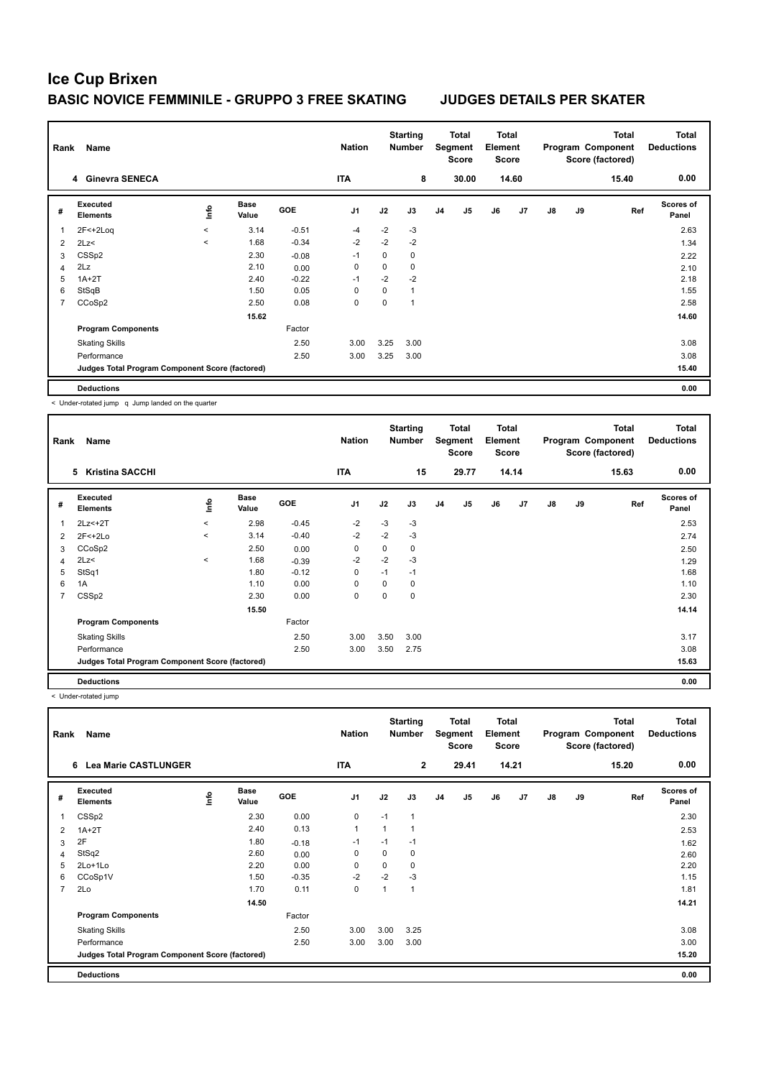| Rank           | Name                                            |         |                      |         | <b>Nation</b>  |      | <b>Starting</b><br><b>Number</b> |                | Total<br>Segment<br><b>Score</b> | <b>Total</b><br>Element<br><b>Score</b> |       |    |    | <b>Total</b><br>Program Component<br>Score (factored) | <b>Total</b><br><b>Deductions</b> |
|----------------|-------------------------------------------------|---------|----------------------|---------|----------------|------|----------------------------------|----------------|----------------------------------|-----------------------------------------|-------|----|----|-------------------------------------------------------|-----------------------------------|
|                | 4 Ginevra SENECA                                |         |                      |         | ITA            |      | 8                                |                | 30.00                            |                                         | 14.60 |    |    | 15.40                                                 | 0.00                              |
| #              | Executed<br><b>Elements</b>                     | lnfo    | <b>Base</b><br>Value | GOE     | J <sub>1</sub> | J2   | J3                               | J <sub>4</sub> | J <sub>5</sub>                   | J6                                      | J7    | J8 | J9 | Ref                                                   | <b>Scores of</b><br>Panel         |
| $\mathbf{1}$   | $2F < +2Log$                                    | $\prec$ | 3.14                 | $-0.51$ | $-4$           | $-2$ | $-3$                             |                |                                  |                                         |       |    |    |                                                       | 2.63                              |
| $\overline{2}$ | 2Lz<                                            | $\prec$ | 1.68                 | $-0.34$ | $-2$           | $-2$ | $-2$                             |                |                                  |                                         |       |    |    |                                                       | 1.34                              |
| 3              | CSSp2                                           |         | 2.30                 | $-0.08$ | $-1$           | 0    | 0                                |                |                                  |                                         |       |    |    |                                                       | 2.22                              |
| $\overline{4}$ | 2Lz                                             |         | 2.10                 | 0.00    | 0              | 0    | $\mathbf 0$                      |                |                                  |                                         |       |    |    |                                                       | 2.10                              |
| 5              | $1A+2T$                                         |         | 2.40                 | $-0.22$ | $-1$           | $-2$ | $-2$                             |                |                                  |                                         |       |    |    |                                                       | 2.18                              |
| 6              | StSqB                                           |         | 1.50                 | 0.05    | 0              | 0    | $\mathbf{1}$                     |                |                                  |                                         |       |    |    |                                                       | 1.55                              |
| $\overline{7}$ | CCoSp2                                          |         | 2.50                 | 0.08    | 0              | 0    | $\overline{\mathbf{1}}$          |                |                                  |                                         |       |    |    |                                                       | 2.58                              |
|                |                                                 |         | 15.62                |         |                |      |                                  |                |                                  |                                         |       |    |    |                                                       | 14.60                             |
|                | <b>Program Components</b>                       |         |                      | Factor  |                |      |                                  |                |                                  |                                         |       |    |    |                                                       |                                   |
|                | <b>Skating Skills</b>                           |         |                      | 2.50    | 3.00           | 3.25 | 3.00                             |                |                                  |                                         |       |    |    |                                                       | 3.08                              |
|                | Performance                                     |         |                      | 2.50    | 3.00           | 3.25 | 3.00                             |                |                                  |                                         |       |    |    |                                                       | 3.08                              |
|                | Judges Total Program Component Score (factored) |         |                      |         |                |      |                                  |                |                                  |                                         |       |    |    |                                                       | 15.40                             |
|                | <b>Deductions</b>                               |         |                      |         |                |      |                                  |                |                                  |                                         |       |    |    |                                                       | 0.00                              |

< Under-rotated jump q Jump landed on the quarter

| Rank | Name                                            |         |                      |         | <b>Nation</b>  |          | <b>Starting</b><br><b>Number</b> |                | Total<br>Segment<br><b>Score</b> | Total<br>Element<br><b>Score</b> |       |               |    | <b>Total</b><br>Program Component<br>Score (factored) | <b>Total</b><br><b>Deductions</b> |
|------|-------------------------------------------------|---------|----------------------|---------|----------------|----------|----------------------------------|----------------|----------------------------------|----------------------------------|-------|---------------|----|-------------------------------------------------------|-----------------------------------|
|      | 5<br><b>Kristina SACCHI</b>                     |         |                      |         | <b>ITA</b>     |          | 15                               |                | 29.77                            |                                  | 14.14 |               |    | 15.63                                                 | 0.00                              |
| #    | <b>Executed</b><br><b>Elements</b>              | lnfo    | <b>Base</b><br>Value | GOE     | J <sub>1</sub> | J2       | J3                               | J <sub>4</sub> | J <sub>5</sub>                   | J6                               | J7    | $\mathsf{J}8$ | J9 | Ref                                                   | <b>Scores of</b><br>Panel         |
| 1    | 2Lz <+2T                                        | $\prec$ | 2.98                 | $-0.45$ | $-2$           | $-3$     | $-3$                             |                |                                  |                                  |       |               |    |                                                       | 2.53                              |
| 2    | $2F<+2Lo$                                       | $\prec$ | 3.14                 | $-0.40$ | $-2$           | $-2$     | $-3$                             |                |                                  |                                  |       |               |    |                                                       | 2.74                              |
| 3    | CCoSp2                                          |         | 2.50                 | 0.00    | 0              | 0        | 0                                |                |                                  |                                  |       |               |    |                                                       | 2.50                              |
| 4    | 2Lz<                                            | $\prec$ | 1.68                 | $-0.39$ | $-2$           | $-2$     | $-3$                             |                |                                  |                                  |       |               |    |                                                       | 1.29                              |
| 5    | StSq1                                           |         | 1.80                 | $-0.12$ | 0              | $-1$     | $-1$                             |                |                                  |                                  |       |               |    |                                                       | 1.68                              |
| 6    | 1A                                              |         | 1.10                 | 0.00    | $\mathbf 0$    | $\Omega$ | 0                                |                |                                  |                                  |       |               |    |                                                       | 1.10                              |
| 7    | CSSp2                                           |         | 2.30                 | 0.00    | $\mathbf 0$    | 0        | 0                                |                |                                  |                                  |       |               |    |                                                       | 2.30                              |
|      |                                                 |         | 15.50                |         |                |          |                                  |                |                                  |                                  |       |               |    |                                                       | 14.14                             |
|      | <b>Program Components</b>                       |         |                      | Factor  |                |          |                                  |                |                                  |                                  |       |               |    |                                                       |                                   |
|      | <b>Skating Skills</b>                           |         |                      | 2.50    | 3.00           | 3.50     | 3.00                             |                |                                  |                                  |       |               |    |                                                       | 3.17                              |
|      | Performance                                     |         |                      | 2.50    | 3.00           | 3.50     | 2.75                             |                |                                  |                                  |       |               |    |                                                       | 3.08                              |
|      | Judges Total Program Component Score (factored) |         |                      |         |                |          |                                  |                |                                  |                                  |       |               |    |                                                       | 15.63                             |
|      | <b>Deductions</b>                               |         |                      |         |                |          |                                  |                |                                  |                                  |       |               |    |                                                       | 0.00                              |

< Under-rotated jump

| Rank           | Name                                            |             |                      |            | <b>Nation</b>  |          | <b>Starting</b><br><b>Number</b> |    | <b>Total</b><br>Segment<br><b>Score</b> | <b>Total</b><br>Element<br><b>Score</b> |       |               |    | <b>Total</b><br>Program Component<br>Score (factored) | Total<br><b>Deductions</b> |
|----------------|-------------------------------------------------|-------------|----------------------|------------|----------------|----------|----------------------------------|----|-----------------------------------------|-----------------------------------------|-------|---------------|----|-------------------------------------------------------|----------------------------|
|                | <b>Lea Marie CASTLUNGER</b><br>6                |             |                      |            | <b>ITA</b>     |          | $\overline{2}$                   |    | 29.41                                   |                                         | 14.21 |               |    | 15.20                                                 | 0.00                       |
| #              | Executed<br><b>Elements</b>                     | <u>lnfo</u> | <b>Base</b><br>Value | <b>GOE</b> | J <sub>1</sub> | J2       | J3                               | J4 | J <sub>5</sub>                          | J6                                      | J7    | $\mathsf{J}8$ | J9 | Ref                                                   | <b>Scores of</b><br>Panel  |
|                | CSSp2                                           |             | 2.30                 | 0.00       | $\mathbf 0$    | $-1$     | 1                                |    |                                         |                                         |       |               |    |                                                       | 2.30                       |
| 2              | $1A+2T$                                         |             | 2.40                 | 0.13       | 1              | 1        | 1                                |    |                                         |                                         |       |               |    |                                                       | 2.53                       |
| 3              | 2F                                              |             | 1.80                 | $-0.18$    | $-1$           | $-1$     | $-1$                             |    |                                         |                                         |       |               |    |                                                       | 1.62                       |
| 4              | StSq2                                           |             | 2.60                 | 0.00       | 0              | $\Omega$ | 0                                |    |                                         |                                         |       |               |    |                                                       | 2.60                       |
| 5              | $2Lo+1Lo$                                       |             | 2.20                 | 0.00       | $\mathbf 0$    | 0        | 0                                |    |                                         |                                         |       |               |    |                                                       | 2.20                       |
| 6              | CCoSp1V                                         |             | 1.50                 | $-0.35$    | $-2$           | $-2$     | $-3$                             |    |                                         |                                         |       |               |    |                                                       | 1.15                       |
| $\overline{7}$ | 2Lo                                             |             | 1.70                 | 0.11       | 0              | 1        | 1                                |    |                                         |                                         |       |               |    |                                                       | 1.81                       |
|                |                                                 |             | 14.50                |            |                |          |                                  |    |                                         |                                         |       |               |    |                                                       | 14.21                      |
|                | <b>Program Components</b>                       |             |                      | Factor     |                |          |                                  |    |                                         |                                         |       |               |    |                                                       |                            |
|                | <b>Skating Skills</b>                           |             |                      | 2.50       | 3.00           | 3.00     | 3.25                             |    |                                         |                                         |       |               |    |                                                       | 3.08                       |
|                | Performance                                     |             |                      | 2.50       | 3.00           | 3.00     | 3.00                             |    |                                         |                                         |       |               |    |                                                       | 3.00                       |
|                | Judges Total Program Component Score (factored) |             |                      |            |                |          |                                  |    |                                         |                                         |       |               |    |                                                       | 15.20                      |
|                | <b>Deductions</b>                               |             |                      |            |                |          |                                  |    |                                         |                                         |       |               |    |                                                       | 0.00                       |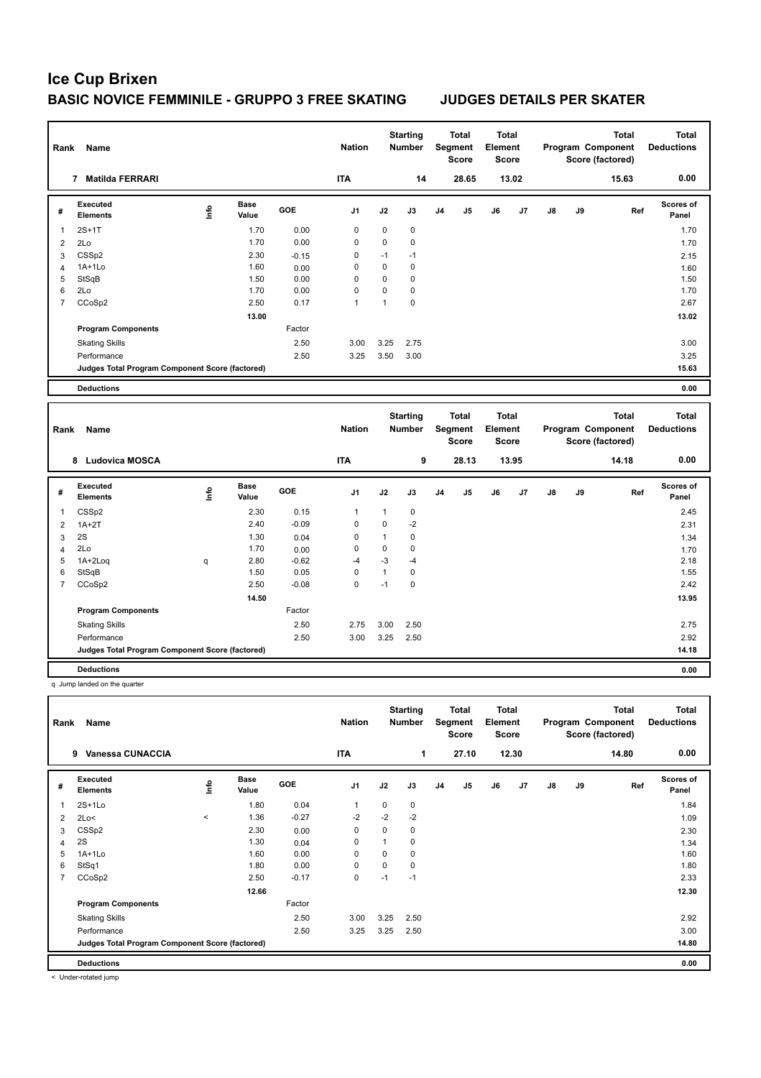| Rank           | Name                                              |      |                      |         | <b>Nation</b>  |              | <b>Starting</b><br>Number        |    | <b>Total</b><br>Segment<br><b>Score</b> | <b>Total</b><br>Element<br><b>Score</b> |       |    |    | Program Component<br>Score (factored) | <b>Total</b> | <b>Total</b><br><b>Deductions</b> |
|----------------|---------------------------------------------------|------|----------------------|---------|----------------|--------------|----------------------------------|----|-----------------------------------------|-----------------------------------------|-------|----|----|---------------------------------------|--------------|-----------------------------------|
|                | 7 Matilda FERRARI                                 |      |                      |         | <b>ITA</b>     |              | 14                               |    | 28.65                                   |                                         | 13.02 |    |    |                                       | 15.63        | 0.00                              |
| #              | <b>Executed</b><br><b>Elements</b>                | lnfo | <b>Base</b><br>Value | GOE     | J <sub>1</sub> | J2           | J3                               | J4 | J <sub>5</sub>                          | J6                                      | J7    | J8 | J9 |                                       | Ref          | Scores of<br>Panel                |
| $\mathbf{1}$   | $2S+1T$                                           |      | 1.70                 | 0.00    | 0              | 0            | $\mathbf 0$                      |    |                                         |                                         |       |    |    |                                       |              | 1.70                              |
| $\overline{2}$ | 2Lo                                               |      | 1.70                 | 0.00    | 0              | 0            | $\pmb{0}$                        |    |                                         |                                         |       |    |    |                                       |              | 1.70                              |
| 3              | CSSp2                                             |      | 2.30                 | $-0.15$ | 0              | $-1$         | $-1$                             |    |                                         |                                         |       |    |    |                                       |              | 2.15                              |
| $\overline{4}$ | 1A+1Lo                                            |      | 1.60                 | 0.00    | 0              | 0            | $\mathbf 0$                      |    |                                         |                                         |       |    |    |                                       |              | 1.60                              |
| 5              | StSqB                                             |      | 1.50                 | 0.00    | 0              | 0            | 0                                |    |                                         |                                         |       |    |    |                                       |              | 1.50                              |
| 6              | 2Lo                                               |      | 1.70                 | 0.00    | 0              | 0            | $\mathbf 0$                      |    |                                         |                                         |       |    |    |                                       |              | 1.70                              |
| $\overline{7}$ | CCoSp2                                            |      | 2.50                 | 0.17    | $\mathbf{1}$   | $\mathbf{1}$ | $\mathbf 0$                      |    |                                         |                                         |       |    |    |                                       |              | 2.67                              |
|                |                                                   |      | 13.00                |         |                |              |                                  |    |                                         |                                         |       |    |    |                                       |              | 13.02                             |
|                | <b>Program Components</b>                         |      |                      | Factor  |                |              |                                  |    |                                         |                                         |       |    |    |                                       |              |                                   |
|                | <b>Skating Skills</b>                             |      |                      | 2.50    | 3.00           | 3.25         | 2.75                             |    |                                         |                                         |       |    |    |                                       |              | 3.00                              |
|                | Performance                                       |      |                      | 2.50    | 3.25           | 3.50         | 3.00                             |    |                                         |                                         |       |    |    |                                       |              | 3.25                              |
|                | Judges Total Program Component Score (factored)   |      |                      |         |                |              |                                  |    |                                         |                                         |       |    |    |                                       |              | 15.63                             |
|                | <b>Deductions</b>                                 |      |                      |         |                |              |                                  |    |                                         |                                         |       |    |    |                                       |              | 0.00                              |
|                |                                                   |      |                      |         |                |              |                                  |    |                                         |                                         |       |    |    |                                       |              |                                   |
|                |                                                   |      |                      |         |                |              |                                  |    |                                         |                                         |       |    |    |                                       |              |                                   |
| Rank           | Name                                              |      |                      |         | <b>Nation</b>  |              | <b>Starting</b><br><b>Number</b> |    | <b>Total</b><br>Segment<br><b>Score</b> | Total<br>Element<br><b>Score</b>        |       |    |    | Program Component<br>Score (factored) | <b>Total</b> | <b>Total</b><br><b>Deductions</b> |
|                | 8 Ludovica MOSCA                                  |      |                      |         | <b>ITA</b>     |              | 9                                |    | 28.13                                   |                                         | 13.95 |    |    |                                       | 14.18        | 0.00                              |
| #              | <b>Executed</b><br><b>Elements</b>                | lnfo | <b>Base</b><br>Value | GOE     | J <sub>1</sub> | J2           | J3                               | J4 | J <sub>5</sub>                          | J6                                      | J7    | J8 | J9 |                                       | Ref          | Scores of<br>Panel                |
| 1              | CSSp2                                             |      | 2.30                 | 0.15    | 1              | 1            | 0                                |    |                                         |                                         |       |    |    |                                       |              | 2.45                              |
| 2              | $1A+2T$                                           |      | 2.40                 | $-0.09$ | 0              | 0            | $-2$                             |    |                                         |                                         |       |    |    |                                       |              | 2.31                              |
| 3              | 2S                                                |      | 1.30                 | 0.04    | 0              | $\mathbf{1}$ | $\mathbf 0$                      |    |                                         |                                         |       |    |    |                                       |              | 1.34                              |
| 4              | 2Lo                                               |      | 1.70                 | 0.00    | 0              | 0            | $\pmb{0}$                        |    |                                         |                                         |       |    |    |                                       |              | 1.70                              |
| 5              | 1A+2Log                                           | q    | 2.80                 | $-0.62$ | $-4$           | $-3$         | $-4$                             |    |                                         |                                         |       |    |    |                                       |              | 2.18                              |
| 6              | StSqB                                             |      | 1.50                 | 0.05    | 0              | $\mathbf{1}$ | 0                                |    |                                         |                                         |       |    |    |                                       |              | 1.55                              |
| $\overline{7}$ | CCoSp2                                            |      | 2.50                 | $-0.08$ | 0              | $-1$         | 0                                |    |                                         |                                         |       |    |    |                                       |              | 2.42                              |
|                |                                                   |      | 14.50                |         |                |              |                                  |    |                                         |                                         |       |    |    |                                       |              | 13.95                             |
|                | <b>Program Components</b>                         |      |                      | Factor  |                |              |                                  |    |                                         |                                         |       |    |    |                                       |              |                                   |
|                | <b>Skating Skills</b>                             |      |                      | 2.50    | 2.75           | 3.00         | 2.50                             |    |                                         |                                         |       |    |    |                                       |              | 2.75                              |
|                | Performance                                       |      |                      | 2.50    | 3.00           | 3.25         | 2.50                             |    |                                         |                                         |       |    |    |                                       |              | 2.92                              |
|                | Judges Total Program Component Score (factored)   |      |                      |         |                |              |                                  |    |                                         |                                         |       |    |    |                                       |              | 14.18                             |
|                |                                                   |      |                      |         |                |              |                                  |    |                                         |                                         |       |    |    |                                       |              |                                   |
|                | <b>Deductions</b><br>q Jump landed on the quarter |      |                      |         |                |              |                                  |    |                                         |                                         |       |    |    |                                       |              | 0.00                              |

**Total Deductions Total Program Component Score (factored) Total Element Segment Score Total Score Starting Rank Name Nation Number # Executed Elements Base Value GOE J1 J2 J3 J4 J5 J6 J7 J8 J9 Scores of Panel** 1 1.80 0.04 1 0 0 **Ref**  سماء بن المسلمين بن المسلمين المسلمين بن المسلمين المسلمين بن المسلمين المسلمين المسلمين بن المسلمين المسلمين<br>1.84 Internets - Control of Manel 1.84 (1.84 Manel 1.84 Manel 1.84 Manel 1.84 Manel 1.84 Manel 1.84 Manel 1.84  **9 Vanessa CUNACCIA ITA 1 27.10 12.30 14.80 0.00** 2  $2\text{Lo}$ <  $\leq$   $1.36$   $-0.27$   $-2$   $-2$   $-2$  $3$  CSSp2 2.30  $2.30$   $0.00$  0 0 0  $0$  2.30  $2.30$ 4 2S 1.34 1.30 0.04 0 1 0 5 1A+1Lo 1.60 0.00 0 0 0 1.60 6 StSq1 1.80 0.00 0 0 0 1.80 7 CCoSp2 2.50 -0.17 0 -1 -1 2.33  **12.66 12.30 Program Components**  Skating Skills 3.00 3.25 2.50 2.50 2.92 Factor Performance 2.50 3.25 3.25 2.50 3.00 **Deductions 0.00 Judges Total Program Component Score (factored) 14.80**

< Under-rotated jump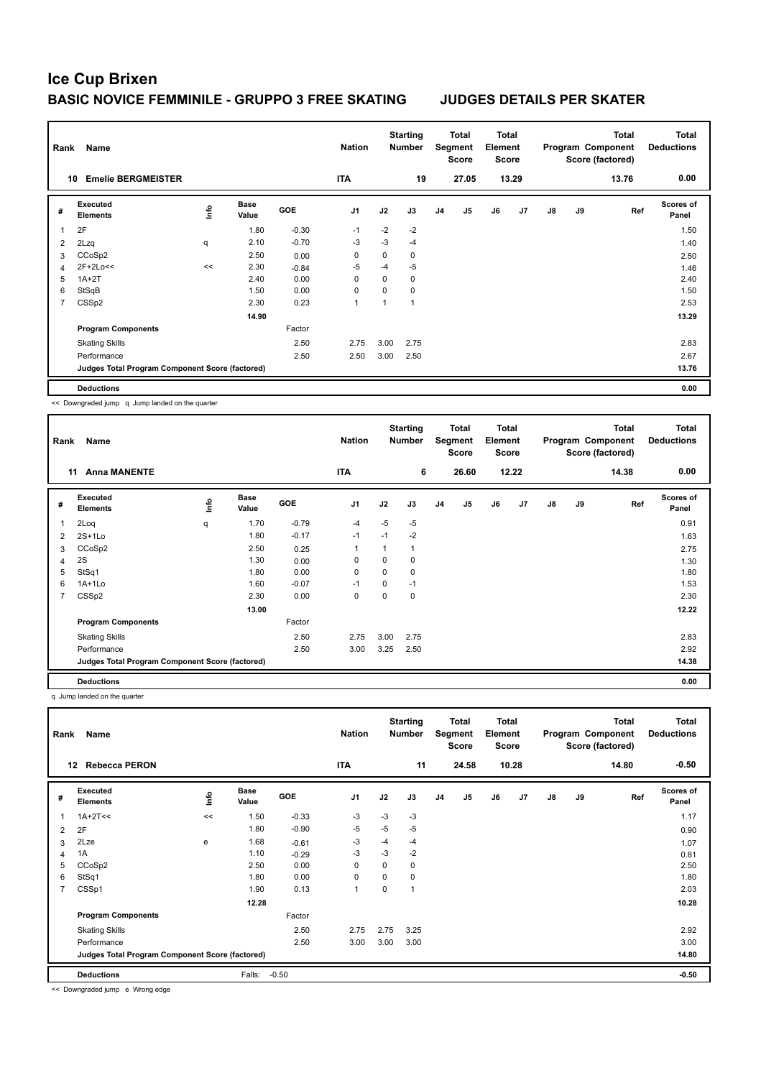| Rank | Name                                            |    |                      |         | <b>Nation</b>  |             | <b>Starting</b><br><b>Number</b> |                | <b>Total</b><br>Segment<br><b>Score</b> | Total<br>Element<br><b>Score</b> |       |               |    | <b>Total</b><br>Program Component<br>Score (factored) | <b>Total</b><br><b>Deductions</b> |
|------|-------------------------------------------------|----|----------------------|---------|----------------|-------------|----------------------------------|----------------|-----------------------------------------|----------------------------------|-------|---------------|----|-------------------------------------------------------|-----------------------------------|
| 10   | <b>Emelie BERGMEISTER</b>                       |    |                      |         | <b>ITA</b>     |             | 19                               |                | 27.05                                   |                                  | 13.29 |               |    | 13.76                                                 | 0.00                              |
| #    | Executed<br><b>Elements</b>                     | ۴ů | <b>Base</b><br>Value | GOE     | J <sub>1</sub> | J2          | J3                               | J <sub>4</sub> | J <sub>5</sub>                          | J6                               | J7    | $\mathsf{J}8$ | J9 | Ref                                                   | <b>Scores of</b><br>Panel         |
| 1    | 2F                                              |    | 1.80                 | $-0.30$ | $-1$           | $-2$        | $-2$                             |                |                                         |                                  |       |               |    |                                                       | 1.50                              |
| 2    | 2Lzq                                            | q  | 2.10                 | $-0.70$ | $-3$           | $-3$        | $-4$                             |                |                                         |                                  |       |               |    |                                                       | 1.40                              |
| 3    | CCoSp2                                          |    | 2.50                 | 0.00    | 0              | $\mathbf 0$ | 0                                |                |                                         |                                  |       |               |    |                                                       | 2.50                              |
| 4    | 2F+2Lo<<                                        | << | 2.30                 | $-0.84$ | -5             | $-4$        | $-5$                             |                |                                         |                                  |       |               |    |                                                       | 1.46                              |
| 5    | $1A+2T$                                         |    | 2.40                 | 0.00    | 0              | 0           | 0                                |                |                                         |                                  |       |               |    |                                                       | 2.40                              |
| 6    | StSqB                                           |    | 1.50                 | 0.00    | 0              | 0           | 0                                |                |                                         |                                  |       |               |    |                                                       | 1.50                              |
| 7    | CSSp2                                           |    | 2.30                 | 0.23    | $\overline{1}$ |             |                                  |                |                                         |                                  |       |               |    |                                                       | 2.53                              |
|      |                                                 |    | 14.90                |         |                |             |                                  |                |                                         |                                  |       |               |    |                                                       | 13.29                             |
|      | <b>Program Components</b>                       |    |                      | Factor  |                |             |                                  |                |                                         |                                  |       |               |    |                                                       |                                   |
|      | <b>Skating Skills</b>                           |    |                      | 2.50    | 2.75           | 3.00        | 2.75                             |                |                                         |                                  |       |               |    |                                                       | 2.83                              |
|      | Performance                                     |    |                      | 2.50    | 2.50           | 3.00        | 2.50                             |                |                                         |                                  |       |               |    |                                                       | 2.67                              |
|      | Judges Total Program Component Score (factored) |    |                      |         |                |             |                                  |                |                                         |                                  |       |               |    |                                                       | 13.76                             |
|      | <b>Deductions</b>                               |    |                      |         |                |             |                                  |                |                                         |                                  |       |               |    |                                                       | 0.00                              |

<< Downgraded jump q Jump landed on the quarter

| Rank | Name                                            |                |                      |            | <b>Nation</b> |          | <b>Starting</b><br>Number |                | Total<br>Segment<br><b>Score</b> | <b>Total</b><br>Element<br><b>Score</b> |                |               |    | <b>Total</b><br>Program Component<br>Score (factored) | <b>Total</b><br><b>Deductions</b> |
|------|-------------------------------------------------|----------------|----------------------|------------|---------------|----------|---------------------------|----------------|----------------------------------|-----------------------------------------|----------------|---------------|----|-------------------------------------------------------|-----------------------------------|
|      | <b>Anna MANENTE</b><br>11                       |                |                      |            | <b>ITA</b>    |          | 6                         |                | 26.60                            |                                         | 12.22          |               |    | 14.38                                                 | 0.00                              |
| #    | Executed<br><b>Elements</b>                     | $\frac{6}{10}$ | <b>Base</b><br>Value | <b>GOE</b> | J1            | J2       | J3                        | J <sub>4</sub> | J <sub>5</sub>                   | J6                                      | J <sub>7</sub> | $\mathsf{J}8$ | J9 | Ref                                                   | Scores of<br>Panel                |
| 1    | 2Loq                                            | q              | 1.70                 | $-0.79$    | $-4$          | $-5$     | $-5$                      |                |                                  |                                         |                |               |    |                                                       | 0.91                              |
| 2    | $2S+1Lo$                                        |                | 1.80                 | $-0.17$    | $-1$          | $-1$     | $-2$                      |                |                                  |                                         |                |               |    |                                                       | 1.63                              |
| 3    | CCoSp2                                          |                | 2.50                 | 0.25       |               | 1        | 1                         |                |                                  |                                         |                |               |    |                                                       | 2.75                              |
| 4    | 2S                                              |                | 1.30                 | 0.00       | $\mathbf 0$   | 0        | 0                         |                |                                  |                                         |                |               |    |                                                       | 1.30                              |
| 5    | StSq1                                           |                | 1.80                 | 0.00       | 0             | 0        | 0                         |                |                                  |                                         |                |               |    |                                                       | 1.80                              |
| 6    | 1A+1Lo                                          |                | 1.60                 | $-0.07$    | $-1$          | $\Omega$ | $-1$                      |                |                                  |                                         |                |               |    |                                                       | 1.53                              |
| 7    | CSSp2                                           |                | 2.30                 | 0.00       | $\mathbf 0$   | 0        | 0                         |                |                                  |                                         |                |               |    |                                                       | 2.30                              |
|      |                                                 |                | 13.00                |            |               |          |                           |                |                                  |                                         |                |               |    |                                                       | 12.22                             |
|      | <b>Program Components</b>                       |                |                      | Factor     |               |          |                           |                |                                  |                                         |                |               |    |                                                       |                                   |
|      | <b>Skating Skills</b>                           |                |                      | 2.50       | 2.75          | 3.00     | 2.75                      |                |                                  |                                         |                |               |    |                                                       | 2.83                              |
|      | Performance                                     |                |                      | 2.50       | 3.00          | 3.25     | 2.50                      |                |                                  |                                         |                |               |    |                                                       | 2.92                              |
|      | Judges Total Program Component Score (factored) |                |                      |            |               |          |                           |                |                                  |                                         |                |               |    |                                                       | 14.38                             |
|      | <b>Deductions</b>                               |                |                      |            |               |          |                           |                |                                  |                                         |                |               |    |                                                       | 0.00                              |

q Jump landed on the quarter

| Rank           | Name                                            |      |                      |            | <b>Nation</b>  |      | <b>Starting</b><br><b>Number</b> |                | Total<br>Segment<br><b>Score</b> | <b>Total</b><br>Element<br><b>Score</b> |       |               |    | <b>Total</b><br>Program Component<br>Score (factored) | Total<br><b>Deductions</b> |
|----------------|-------------------------------------------------|------|----------------------|------------|----------------|------|----------------------------------|----------------|----------------------------------|-----------------------------------------|-------|---------------|----|-------------------------------------------------------|----------------------------|
| 12             | <b>Rebecca PERON</b>                            |      |                      |            | <b>ITA</b>     |      | 11                               |                | 24.58                            |                                         | 10.28 |               |    | 14.80                                                 | $-0.50$                    |
| #              | Executed<br><b>Elements</b>                     | lnfo | <b>Base</b><br>Value | <b>GOE</b> | J <sub>1</sub> | J2   | J3                               | J <sub>4</sub> | J <sub>5</sub>                   | J6                                      | J7    | $\mathsf{J}8$ | J9 | Ref                                                   | <b>Scores of</b><br>Panel  |
|                | $1A+2T<<$                                       | <<   | 1.50                 | $-0.33$    | $-3$           | $-3$ | $-3$                             |                |                                  |                                         |       |               |    |                                                       | 1.17                       |
| $\overline{2}$ | 2F                                              |      | 1.80                 | $-0.90$    | $-5$           | $-5$ | $-5$                             |                |                                  |                                         |       |               |    |                                                       | 0.90                       |
| 3              | 2Lze                                            | e    | 1.68                 | $-0.61$    | -3             | $-4$ | -4                               |                |                                  |                                         |       |               |    |                                                       | 1.07                       |
| 4              | 1A                                              |      | 1.10                 | $-0.29$    | -3             | $-3$ | $-2$                             |                |                                  |                                         |       |               |    |                                                       | 0.81                       |
| 5              | CCoSp2                                          |      | 2.50                 | 0.00       | 0              | 0    | 0                                |                |                                  |                                         |       |               |    |                                                       | 2.50                       |
| 6              | StSq1                                           |      | 1.80                 | 0.00       | 0              | 0    | 0                                |                |                                  |                                         |       |               |    |                                                       | 1.80                       |
| $\overline{7}$ | CSSp1                                           |      | 1.90                 | 0.13       | $\overline{1}$ | 0    | $\overline{ }$                   |                |                                  |                                         |       |               |    |                                                       | 2.03                       |
|                |                                                 |      | 12.28                |            |                |      |                                  |                |                                  |                                         |       |               |    |                                                       | 10.28                      |
|                | <b>Program Components</b>                       |      |                      | Factor     |                |      |                                  |                |                                  |                                         |       |               |    |                                                       |                            |
|                | <b>Skating Skills</b>                           |      |                      | 2.50       | 2.75           | 2.75 | 3.25                             |                |                                  |                                         |       |               |    |                                                       | 2.92                       |
|                | Performance                                     |      |                      | 2.50       | 3.00           | 3.00 | 3.00                             |                |                                  |                                         |       |               |    |                                                       | 3.00                       |
|                | Judges Total Program Component Score (factored) |      |                      |            |                |      |                                  |                |                                  |                                         |       |               |    |                                                       | 14.80                      |
|                | <b>Deductions</b>                               |      | Falls:               | $-0.50$    |                |      |                                  |                |                                  |                                         |       |               |    |                                                       | $-0.50$                    |

<< Downgraded jump e Wrong edge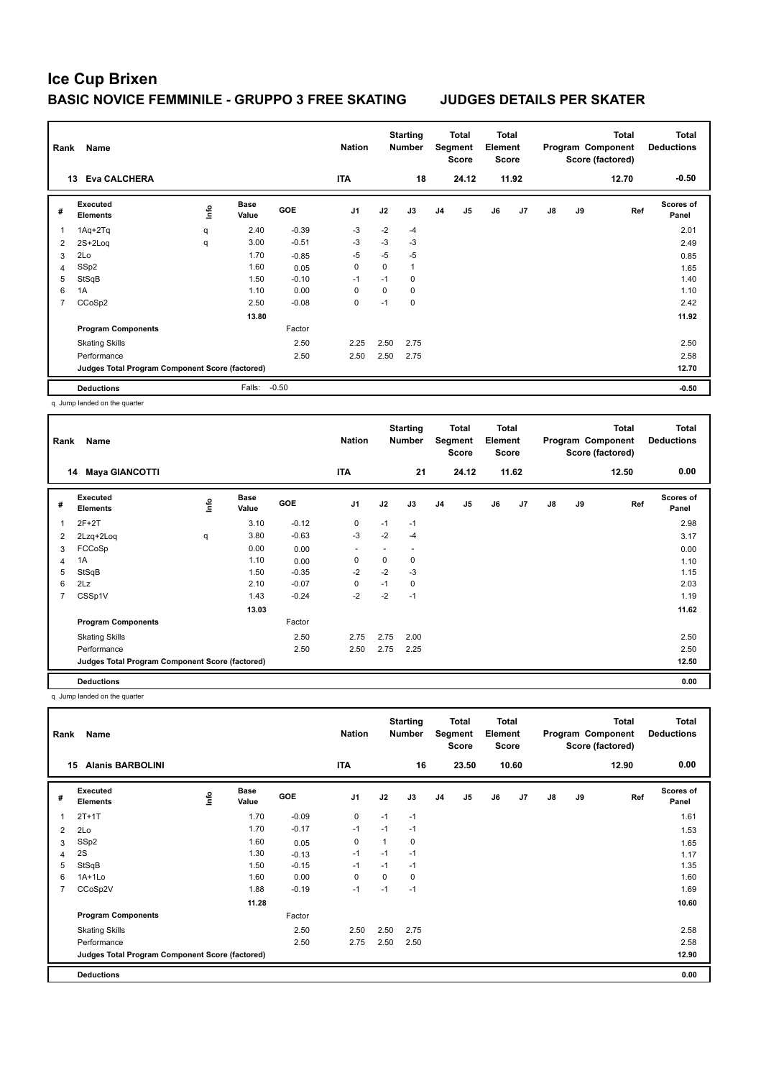| Rank           | Name                                            |      |                      |            | <b>Nation</b>  |          | <b>Starting</b><br><b>Number</b> |                | Total<br>Segment<br>Score | <b>Total</b><br>Element<br>Score |       |               |    | <b>Total</b><br>Program Component<br>Score (factored) | <b>Total</b><br><b>Deductions</b> |
|----------------|-------------------------------------------------|------|----------------------|------------|----------------|----------|----------------------------------|----------------|---------------------------|----------------------------------|-------|---------------|----|-------------------------------------------------------|-----------------------------------|
|                | <b>Eva CALCHERA</b><br>13                       |      |                      |            | <b>ITA</b>     |          | 18                               |                | 24.12                     |                                  | 11.92 |               |    | 12.70                                                 | $-0.50$                           |
| #              | Executed<br><b>Elements</b>                     | lnfo | <b>Base</b><br>Value | <b>GOE</b> | J <sub>1</sub> | J2       | J3                               | J <sub>4</sub> | J <sub>5</sub>            | J6                               | J7    | $\mathsf{J}8$ | J9 | Ref                                                   | <b>Scores of</b><br>Panel         |
| $\mathbf{1}$   | $1Aq + 2Tq$                                     | q    | 2.40                 | $-0.39$    | $-3$           | $-2$     | $-4$                             |                |                           |                                  |       |               |    |                                                       | 2.01                              |
| 2              | 2S+2Loq                                         | q    | 3.00                 | $-0.51$    | $-3$           | $-3$     | $-3$                             |                |                           |                                  |       |               |    |                                                       | 2.49                              |
| 3              | 2Lo                                             |      | 1.70                 | $-0.85$    | $-5$           | $-5$     | -5                               |                |                           |                                  |       |               |    |                                                       | 0.85                              |
| $\overline{4}$ | SSp2                                            |      | 1.60                 | 0.05       | 0              | $\Omega$ | $\mathbf{1}$                     |                |                           |                                  |       |               |    |                                                       | 1.65                              |
| 5              | StSqB                                           |      | 1.50                 | $-0.10$    | $-1$           | $-1$     | 0                                |                |                           |                                  |       |               |    |                                                       | 1.40                              |
| 6              | 1A                                              |      | 1.10                 | 0.00       | 0              | 0        | 0                                |                |                           |                                  |       |               |    |                                                       | 1.10                              |
| $\overline{7}$ | CCoSp2                                          |      | 2.50                 | $-0.08$    | 0              | $-1$     | $\mathbf 0$                      |                |                           |                                  |       |               |    |                                                       | 2.42                              |
|                |                                                 |      | 13.80                |            |                |          |                                  |                |                           |                                  |       |               |    |                                                       | 11.92                             |
|                | <b>Program Components</b>                       |      |                      | Factor     |                |          |                                  |                |                           |                                  |       |               |    |                                                       |                                   |
|                | <b>Skating Skills</b>                           |      |                      | 2.50       | 2.25           | 2.50     | 2.75                             |                |                           |                                  |       |               |    |                                                       | 2.50                              |
|                | Performance                                     |      |                      | 2.50       | 2.50           | 2.50     | 2.75                             |                |                           |                                  |       |               |    |                                                       | 2.58                              |
|                | Judges Total Program Component Score (factored) |      |                      |            |                |          |                                  |                |                           |                                  |       |               |    |                                                       | 12.70                             |
|                | <b>Deductions</b>                               |      | Falls:               | $-0.50$    |                |          |                                  |                |                           |                                  |       |               |    |                                                       | $-0.50$                           |

q Jump landed on the quarter

| Rank | <b>Name</b>                                     |      |                      |            | <b>Nation</b>            |      | <b>Starting</b><br><b>Number</b> |                | Total<br>Segment<br><b>Score</b> | Total<br>Element<br><b>Score</b> |       |    |    | Total<br>Program Component<br>Score (factored) | Total<br><b>Deductions</b> |
|------|-------------------------------------------------|------|----------------------|------------|--------------------------|------|----------------------------------|----------------|----------------------------------|----------------------------------|-------|----|----|------------------------------------------------|----------------------------|
|      | 14 Maya GIANCOTTI                               |      |                      |            | <b>ITA</b>               |      | 21                               |                | 24.12                            |                                  | 11.62 |    |    | 12.50                                          | 0.00                       |
| #    | Executed<br><b>Elements</b>                     | lnfo | <b>Base</b><br>Value | <b>GOE</b> | J <sub>1</sub>           | J2   | J3                               | J <sub>4</sub> | J <sub>5</sub>                   | J6                               | J7    | J8 | J9 | Ref                                            | <b>Scores of</b><br>Panel  |
|      | $2F+2T$                                         |      | 3.10                 | $-0.12$    | 0                        | $-1$ | $-1$                             |                |                                  |                                  |       |    |    |                                                | 2.98                       |
| 2    | 2Lzq+2Loq                                       | q    | 3.80                 | $-0.63$    | $-3$                     | $-2$ | $-4$                             |                |                                  |                                  |       |    |    |                                                | 3.17                       |
| 3    | FCCoSp                                          |      | 0.00                 | 0.00       | $\overline{\phantom{a}}$ |      |                                  |                |                                  |                                  |       |    |    |                                                | 0.00                       |
| 4    | 1A                                              |      | 1.10                 | 0.00       | $\mathbf 0$              | 0    | 0                                |                |                                  |                                  |       |    |    |                                                | 1.10                       |
| 5    | StSqB                                           |      | 1.50                 | $-0.35$    | $-2$                     | $-2$ | $-3$                             |                |                                  |                                  |       |    |    |                                                | 1.15                       |
| 6    | 2Lz                                             |      | 2.10                 | $-0.07$    | $\mathbf 0$              | $-1$ | 0                                |                |                                  |                                  |       |    |    |                                                | 2.03                       |
| 7    | CSSp1V                                          |      | 1.43                 | $-0.24$    | $-2$                     | $-2$ | $-1$                             |                |                                  |                                  |       |    |    |                                                | 1.19                       |
|      |                                                 |      | 13.03                |            |                          |      |                                  |                |                                  |                                  |       |    |    |                                                | 11.62                      |
|      | <b>Program Components</b>                       |      |                      | Factor     |                          |      |                                  |                |                                  |                                  |       |    |    |                                                |                            |
|      | <b>Skating Skills</b>                           |      |                      | 2.50       | 2.75                     | 2.75 | 2.00                             |                |                                  |                                  |       |    |    |                                                | 2.50                       |
|      | Performance                                     |      |                      | 2.50       | 2.50                     | 2.75 | 2.25                             |                |                                  |                                  |       |    |    |                                                | 2.50                       |
|      | Judges Total Program Component Score (factored) |      |                      |            |                          |      |                                  |                |                                  |                                  |       |    |    |                                                | 12.50                      |
|      | <b>Deductions</b>                               |      |                      |            |                          |      |                                  |                |                                  |                                  |       |    |    |                                                | 0.00                       |

q Jump landed on the quarter

| Rank           | Name                                            |             |                      |            | <b>Nation</b>  |      | <b>Starting</b><br><b>Number</b> |                | Total<br>Segment<br><b>Score</b> | <b>Total</b><br>Element<br><b>Score</b> |       |               |    | <b>Total</b><br>Program Component<br>Score (factored) | <b>Total</b><br><b>Deductions</b> |
|----------------|-------------------------------------------------|-------------|----------------------|------------|----------------|------|----------------------------------|----------------|----------------------------------|-----------------------------------------|-------|---------------|----|-------------------------------------------------------|-----------------------------------|
|                | <b>Alanis BARBOLINI</b><br>15                   |             |                      |            | <b>ITA</b>     |      | 16                               |                | 23.50                            |                                         | 10.60 |               |    | 12.90                                                 | 0.00                              |
| #              | Executed<br><b>Elements</b>                     | <u>lnfo</u> | <b>Base</b><br>Value | <b>GOE</b> | J <sub>1</sub> | J2   | J3                               | J <sub>4</sub> | J <sub>5</sub>                   | J6                                      | J7    | $\mathsf{J}8$ | J9 | Ref                                                   | Scores of<br>Panel                |
| 1              | $2T+1T$                                         |             | 1.70                 | $-0.09$    | $\mathbf 0$    | $-1$ | $-1$                             |                |                                  |                                         |       |               |    |                                                       | 1.61                              |
| 2              | 2Lo                                             |             | 1.70                 | $-0.17$    | $-1$           | $-1$ | $-1$                             |                |                                  |                                         |       |               |    |                                                       | 1.53                              |
| 3              | SSp2                                            |             | 1.60                 | 0.05       | 0              | 1    | $\mathbf 0$                      |                |                                  |                                         |       |               |    |                                                       | 1.65                              |
| 4              | 2S                                              |             | 1.30                 | $-0.13$    | $-1$           | $-1$ | $-1$                             |                |                                  |                                         |       |               |    |                                                       | 1.17                              |
| 5              | StSqB                                           |             | 1.50                 | $-0.15$    | $-1$           | $-1$ | $-1$                             |                |                                  |                                         |       |               |    |                                                       | 1.35                              |
| 6              | $1A+1Lo$                                        |             | 1.60                 | 0.00       | 0              | 0    | $\mathbf 0$                      |                |                                  |                                         |       |               |    |                                                       | 1.60                              |
| $\overline{7}$ | CCoSp2V                                         |             | 1.88                 | $-0.19$    | $-1$           | $-1$ | $-1$                             |                |                                  |                                         |       |               |    |                                                       | 1.69                              |
|                |                                                 |             | 11.28                |            |                |      |                                  |                |                                  |                                         |       |               |    |                                                       | 10.60                             |
|                | <b>Program Components</b>                       |             |                      | Factor     |                |      |                                  |                |                                  |                                         |       |               |    |                                                       |                                   |
|                | <b>Skating Skills</b>                           |             |                      | 2.50       | 2.50           | 2.50 | 2.75                             |                |                                  |                                         |       |               |    |                                                       | 2.58                              |
|                | Performance                                     |             |                      | 2.50       | 2.75           | 2.50 | 2.50                             |                |                                  |                                         |       |               |    |                                                       | 2.58                              |
|                | Judges Total Program Component Score (factored) |             |                      |            |                |      |                                  |                |                                  |                                         |       |               |    |                                                       | 12.90                             |
|                | <b>Deductions</b>                               |             |                      |            |                |      |                                  |                |                                  |                                         |       |               |    |                                                       | 0.00                              |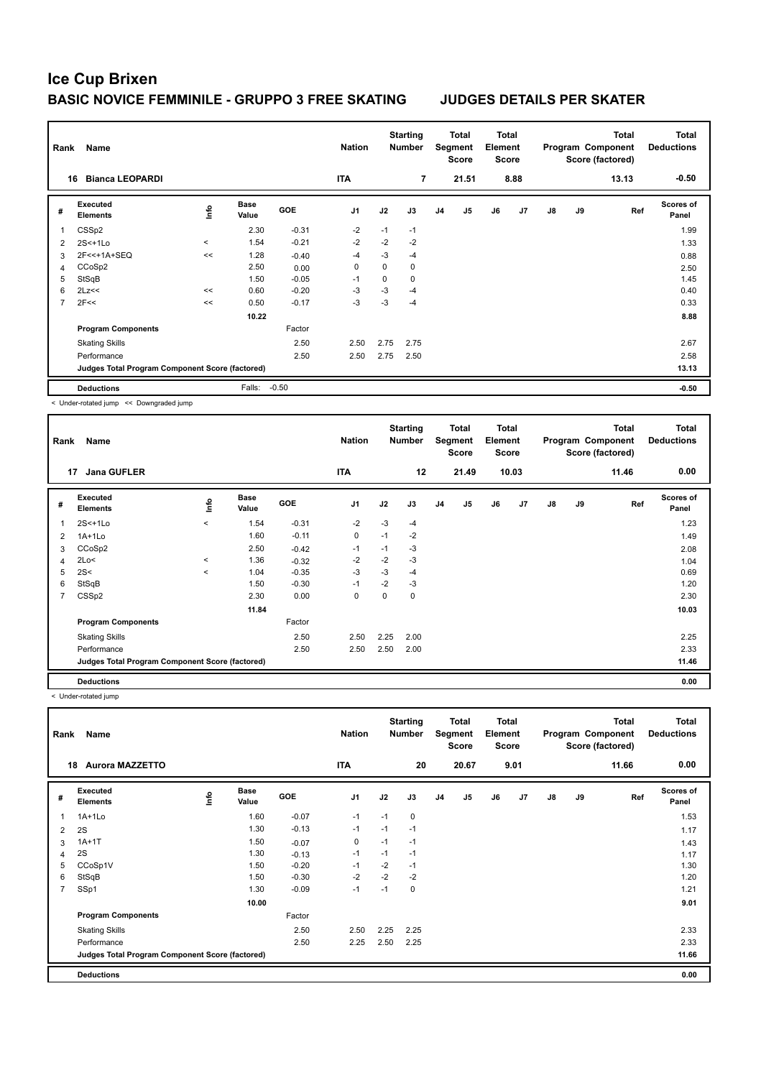| <b>Score</b><br>Score (factored)<br><b>Score</b>                                                                                                                                  |                           |
|-----------------------------------------------------------------------------------------------------------------------------------------------------------------------------------|---------------------------|
| <b>Bianca LEOPARDI</b><br><b>ITA</b><br>7<br>21.51<br>8.88<br>13.13<br>16                                                                                                         | $-0.50$                   |
| Executed<br><b>Base</b><br>۴ů<br><b>GOE</b><br>J2<br>J7<br>J <sub>1</sub><br>J3<br>J <sub>5</sub><br>J6<br>$\mathsf{J}8$<br>J9<br>#<br>J <sub>4</sub><br><b>Elements</b><br>Value | Scores of<br>Ref<br>Panel |
| 2.30<br>$-0.31$<br>$-2$<br>CSSp2<br>$-1$<br>$-1$<br>-1                                                                                                                            | 1.99                      |
| $-2$<br>$-2$<br>$-0.21$<br>$-2$<br>1.54<br>$2S<+1Lo$<br>$\,<\,$<br>2                                                                                                              | 1.33                      |
| 1.28<br>$-3$<br>2F<<+1A+SEQ<br>-4<br>$-4$<br><<<br>$-0.40$<br>3                                                                                                                   | 0.88                      |
| $\mathbf 0$<br>$\Omega$<br>CCoSp2<br>2.50<br>0<br>0.00<br>4                                                                                                                       | 2.50                      |
| StSqB<br>$-0.05$<br>1.50<br>0<br>0<br>5<br>$-1$                                                                                                                                   | 1.45                      |
| $-3$<br>2Lz<<<br>$-0.20$<br>-3<br>6<br>0.60<br>$-4$<br><<                                                                                                                         | 0.40                      |
| 2F<<<br>$-3$<br>$-3$<br>$\overline{7}$<br>$-0.17$<br>0.50<br>-4<br><<                                                                                                             | 0.33                      |
| 10.22                                                                                                                                                                             | 8.88                      |
| <b>Program Components</b><br>Factor                                                                                                                                               |                           |
| 2.50<br>2.75<br><b>Skating Skills</b><br>2.50<br>2.75                                                                                                                             | 2.67                      |
| 2.50<br>2.75<br>Performance<br>2.50<br>2.50                                                                                                                                       | 2.58                      |
| Judges Total Program Component Score (factored)                                                                                                                                   | 13.13                     |
| $-0.50$<br><b>Deductions</b><br>Falls:                                                                                                                                            | $-0.50$                   |

< Under-rotated jump << Downgraded jump

| Rank | Name                                            |         |                      |            | <b>Nation</b>  |      | <b>Starting</b><br><b>Number</b> |                | Total<br>Segment<br><b>Score</b> | Total<br>Element<br>Score |       |               |    | Total<br>Program Component<br>Score (factored) | <b>Total</b><br><b>Deductions</b> |
|------|-------------------------------------------------|---------|----------------------|------------|----------------|------|----------------------------------|----------------|----------------------------------|---------------------------|-------|---------------|----|------------------------------------------------|-----------------------------------|
|      | <b>Jana GUFLER</b><br>17                        |         |                      |            | <b>ITA</b>     |      | 12                               |                | 21.49                            |                           | 10.03 |               |    | 11.46                                          | 0.00                              |
| #    | Executed<br><b>Elements</b>                     | ۴ů      | <b>Base</b><br>Value | <b>GOE</b> | J <sub>1</sub> | J2   | J3                               | J <sub>4</sub> | J <sub>5</sub>                   | J6                        | J7    | $\mathsf{J}8$ | J9 | Ref                                            | Scores of<br>Panel                |
|      | $2S<+1Lo$                                       | $\,<\,$ | 1.54                 | $-0.31$    | $-2$           | $-3$ | $-4$                             |                |                                  |                           |       |               |    |                                                | 1.23                              |
| 2    | $1A+1Lo$                                        |         | 1.60                 | $-0.11$    | 0              | $-1$ | $-2$                             |                |                                  |                           |       |               |    |                                                | 1.49                              |
| 3    | CCoSp2                                          |         | 2.50                 | $-0.42$    | $-1$           | $-1$ | $-3$                             |                |                                  |                           |       |               |    |                                                | 2.08                              |
| 4    | 2Lo<                                            | $\,<$   | 1.36                 | $-0.32$    | $-2$           | $-2$ | $-3$                             |                |                                  |                           |       |               |    |                                                | 1.04                              |
| 5    | 2S<                                             | $\prec$ | 1.04                 | $-0.35$    | $-3$           | $-3$ | $-4$                             |                |                                  |                           |       |               |    |                                                | 0.69                              |
| 6    | StSqB                                           |         | 1.50                 | $-0.30$    | $-1$           | $-2$ | $-3$                             |                |                                  |                           |       |               |    |                                                | 1.20                              |
| 7    | CSSp2                                           |         | 2.30                 | 0.00       | 0              | 0    | 0                                |                |                                  |                           |       |               |    |                                                | 2.30                              |
|      |                                                 |         | 11.84                |            |                |      |                                  |                |                                  |                           |       |               |    |                                                | 10.03                             |
|      | <b>Program Components</b>                       |         |                      | Factor     |                |      |                                  |                |                                  |                           |       |               |    |                                                |                                   |
|      | <b>Skating Skills</b>                           |         |                      | 2.50       | 2.50           | 2.25 | 2.00                             |                |                                  |                           |       |               |    |                                                | 2.25                              |
|      | Performance                                     |         |                      | 2.50       | 2.50           | 2.50 | 2.00                             |                |                                  |                           |       |               |    |                                                | 2.33                              |
|      | Judges Total Program Component Score (factored) |         |                      |            |                |      |                                  |                |                                  |                           |       |               |    |                                                | 11.46                             |
|      | <b>Deductions</b>                               |         |                      |            |                |      |                                  |                |                                  |                           |       |               |    |                                                | 0.00                              |

< Under-rotated jump

| Rank           | <b>Name</b>                                     |            |                      |         | <b>Nation</b>  |      | <b>Starting</b><br>Number |    | Total<br>Segment<br><b>Score</b> | Total<br>Element<br><b>Score</b> |      |               |    | Total<br>Program Component<br>Score (factored) | <b>Total</b><br><b>Deductions</b> |
|----------------|-------------------------------------------------|------------|----------------------|---------|----------------|------|---------------------------|----|----------------------------------|----------------------------------|------|---------------|----|------------------------------------------------|-----------------------------------|
| 18             | <b>Aurora MAZZETTO</b>                          |            |                      |         | <b>ITA</b>     |      | 20                        |    | 20.67                            |                                  | 9.01 |               |    | 11.66                                          | 0.00                              |
| #              | Executed<br><b>Elements</b>                     | <u>f</u> o | <b>Base</b><br>Value | GOE     | J <sub>1</sub> | J2   | J3                        | J4 | J <sub>5</sub>                   | J6                               | J7   | $\mathsf{J}8$ | J9 | Ref                                            | <b>Scores of</b><br>Panel         |
| 1              | $1A+1Lo$                                        |            | 1.60                 | $-0.07$ | $-1$           | $-1$ | 0                         |    |                                  |                                  |      |               |    |                                                | 1.53                              |
| 2              | 2S                                              |            | 1.30                 | $-0.13$ | $-1$           | $-1$ | $-1$                      |    |                                  |                                  |      |               |    |                                                | 1.17                              |
| 3              | $1A+1T$                                         |            | 1.50                 | $-0.07$ | 0              | $-1$ | $-1$                      |    |                                  |                                  |      |               |    |                                                | 1.43                              |
| $\overline{4}$ | 2S                                              |            | 1.30                 | $-0.13$ | $-1$           | $-1$ | $-1$                      |    |                                  |                                  |      |               |    |                                                | 1.17                              |
| 5              | CCoSp1V                                         |            | 1.50                 | $-0.20$ | $-1$           | $-2$ | $-1$                      |    |                                  |                                  |      |               |    |                                                | 1.30                              |
| 6              | StSqB                                           |            | 1.50                 | $-0.30$ | $-2$           | $-2$ | $-2$                      |    |                                  |                                  |      |               |    |                                                | 1.20                              |
| $\overline{7}$ | SSp1                                            |            | 1.30                 | $-0.09$ | $-1$           | $-1$ | 0                         |    |                                  |                                  |      |               |    |                                                | 1.21                              |
|                |                                                 |            | 10.00                |         |                |      |                           |    |                                  |                                  |      |               |    |                                                | 9.01                              |
|                | <b>Program Components</b>                       |            |                      | Factor  |                |      |                           |    |                                  |                                  |      |               |    |                                                |                                   |
|                | <b>Skating Skills</b>                           |            |                      | 2.50    | 2.50           | 2.25 | 2.25                      |    |                                  |                                  |      |               |    |                                                | 2.33                              |
|                | Performance                                     |            |                      | 2.50    | 2.25           | 2.50 | 2.25                      |    |                                  |                                  |      |               |    |                                                | 2.33                              |
|                | Judges Total Program Component Score (factored) |            |                      |         |                |      |                           |    |                                  |                                  |      |               |    |                                                | 11.66                             |
|                | <b>Deductions</b>                               |            |                      |         |                |      |                           |    |                                  |                                  |      |               |    |                                                | 0.00                              |